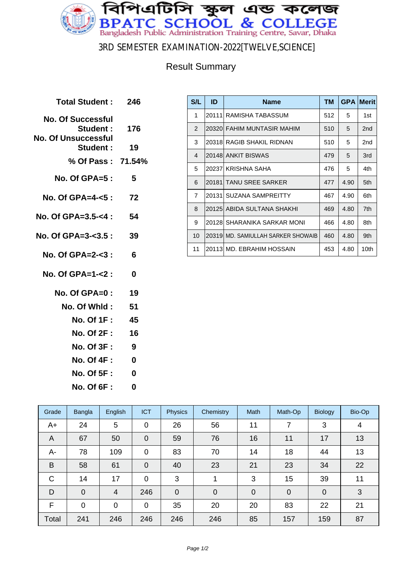

3RD SEMESTER EXAMINATION-2022[TWELVE,SCIENCE]

### Result Summary

| Total Student: 246                                                     |          |
|------------------------------------------------------------------------|----------|
| <b>No. Of Successful</b><br>Student: 176<br><b>No. Of Unsuccessful</b> |          |
| <b>Student :</b>                                                       | 19       |
| % Of Pass: 71.54%                                                      |          |
| $No. Of GPA = 5:$                                                      | 5        |
| No. Of GPA=4- $5$ :                                                    | 72       |
| No. Of GPA=3.5-<4 :                                                    | 54       |
| No. Of GPA=3- $3.5:39$                                                 |          |
| No. Of GPA=2-<3:                                                       | 6        |
| No. Of $GPA = 1 - 2$ :                                                 | 0        |
| $No. Of GPA = 0:$                                                      | 19       |
| No. Of Whid:                                                           | 51       |
| No. Of 1F :                                                            | 45       |
| <b>No. Of 2F :</b>                                                     | 16       |
| <b>No. Of 3F:</b>                                                      | 9        |
| <b>No. Of 4F:</b>                                                      | $\bf{0}$ |
| <b>No. Of 5F:</b>                                                      | 0        |
| <b>No. Of 6F:</b>                                                      | 0        |
|                                                                        |          |

| S/L            | ID     | <b>Name</b>                         | TМ  | <b>GPA</b> | <b>Merit</b>    |
|----------------|--------|-------------------------------------|-----|------------|-----------------|
| 1              |        | 20111 RAMISHA TABASSUM              | 512 | 5          | 1st             |
| $\overline{2}$ |        | 20320 FAHIM MUNTASIR MAHIM          | 510 | 5          | 2 <sub>nd</sub> |
| 3              |        | 20318 RAGIB SHAKIL RIDNAN           | 510 | 5          | 2nd             |
| $\overline{4}$ |        | 20148 ANKIT BISWAS                  | 479 | 5          | 3rd             |
| 5              |        | 20237 KRISHNA SAHA                  | 476 | 5          | 4th             |
| 6              | 201811 | <b>TANU SREE SARKER</b>             | 477 | 4.90       | 5th             |
| $\overline{7}$ | 20131  | <b>SUZANA SAMPREITTY</b>            | 467 | 4.90       | 6th             |
| 8              |        | 20125 ABIDA SULTANA SHAKHI          | 469 | 4.80       | 7th             |
| 9              |        | 20128  SHARANIKA SARKAR MONI        | 466 | 4.80       | 8th             |
| 10             |        | 20319 IMD. SAMIULLAH SARKER SHOWAIB | 460 | 4.80       | 9th             |
| 11             |        | 20113 MD, EBRAHIM HOSSAIN           | 453 | 4.80       | 10th            |

| Grade        | Bangla      | English        | <b>ICT</b>     | <b>Physics</b> | Chemistry      | Math        | Math-Op        | <b>Biology</b> | Bio-Op |
|--------------|-------------|----------------|----------------|----------------|----------------|-------------|----------------|----------------|--------|
| A+           | 24          | 5              | $\mathbf 0$    | 26             | 56             | 11          | 7              | 3              | 4      |
| A            | 67          | 50             | $\overline{0}$ | 59             | 76             | 16          | 11             | 17             | 13     |
| А-           | 78          | 109            | $\mathbf 0$    | 83             | 70             | 14          | 18             | 44             | 13     |
| B            | 58          | 61             | $\mathbf 0$    | 40             | 23             | 21          | 23             | 34             | 22     |
| $\mathsf{C}$ | 14          | 17             | $\mathbf 0$    | 3              |                | 3           | 15             | 39             | 11     |
| D            | $\mathbf 0$ | $\overline{4}$ | 246            | $\mathbf 0$    | $\overline{0}$ | $\mathbf 0$ | $\overline{0}$ | $\mathbf 0$    | 3      |
| F            | $\mathbf 0$ | $\overline{0}$ | $\mathbf 0$    | 35             | 20             | 20          | 83             | 22             | 21     |
| Total        | 241         | 246            | 246            | 246            | 246            | 85          | 157            | 159            | 87     |